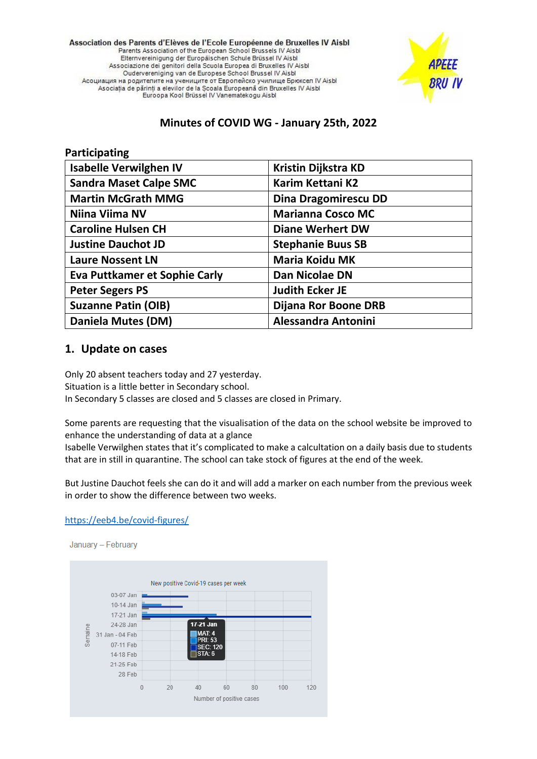Association des Parents d'Elèves de l'Ecole Européenne de Bruxelles IV Aisbl Parents Association of the European School Brussels IV Aisbl Elternvereinigung der Europäischen Schule Brüssel IV Aisbl Associazione dei genitori della Scuola Europea di Bruxelles IV Aisbl Oudervereniging van de Europese School Brussel IV Aisbl Асоциация на родителите на учениците от Европейско училище Брюксел IV Aisbl Asociația de părinți a elevilor de la Scoala Europeană din Bruxelles IV Aisbl Euroopa Kool Brüssel IV Vanematekogu Aisbl



## **Minutes of COVID WG - January 25th, 2022**

| Participating                        |                            |
|--------------------------------------|----------------------------|
| <b>Isabelle Verwilghen IV</b>        | Kristin Dijkstra KD        |
| <b>Sandra Maset Calpe SMC</b>        | <b>Karim Kettani K2</b>    |
| <b>Martin McGrath MMG</b>            | Dina Dragomirescu DD       |
| Niina Viima NV                       | <b>Marianna Cosco MC</b>   |
| <b>Caroline Hulsen CH</b>            | <b>Diane Werhert DW</b>    |
| <b>Justine Dauchot JD</b>            | <b>Stephanie Buus SB</b>   |
| <b>Laure Nossent LN</b>              | <b>Maria Koidu MK</b>      |
| <b>Eva Puttkamer et Sophie Carly</b> | Dan Nicolae DN             |
| <b>Peter Segers PS</b>               | <b>Judith Ecker JE</b>     |
| <b>Suzanne Patin (OIB)</b>           | Dijana Ror Boone DRB       |
| Daniela Mutes (DM)                   | <b>Alessandra Antonini</b> |

## **1. Update on cases**

Only 20 absent teachers today and 27 yesterday. Situation is a little better in Secondary school. In Secondary 5 classes are closed and 5 classes are closed in Primary.

Some parents are requesting that the visualisation of the data on the school website be improved to enhance the understanding of data at a glance

Isabelle Verwilghen states that it's complicated to make a calcultation on a daily basis due to students that are in still in quarantine. The school can take stock of figures at the end of the week.

But Justine Dauchot feels she can do it and will add a marker on each number from the previous week in order to show the difference between two weeks.

#### <https://eeb4.be/covid-figures/>

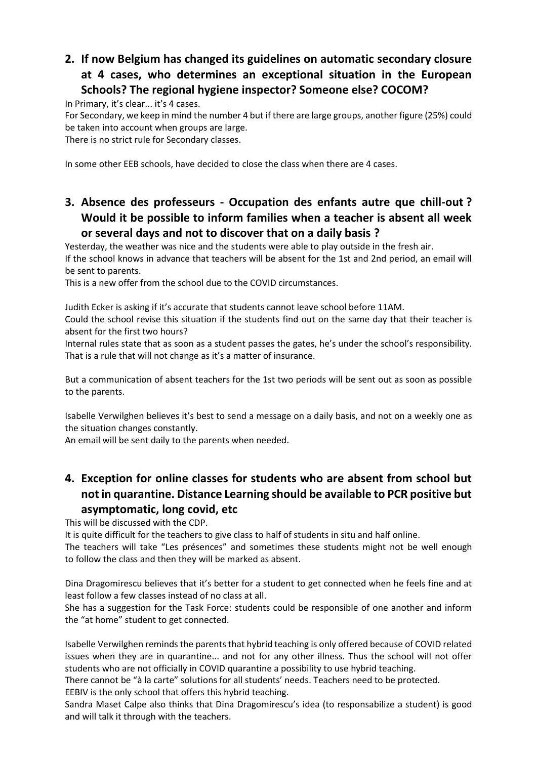# **2. If now Belgium has changed its guidelines on automatic secondary closure at 4 cases, who determines an exceptional situation in the European Schools? The regional hygiene inspector? Someone else? COCOM?**

In Primary, it's clear... it's 4 cases.

For Secondary, we keep in mind the number 4 but if there are large groups, another figure (25%) could be taken into account when groups are large.

There is no strict rule for Secondary classes.

In some other EEB schools, have decided to close the class when there are 4 cases.

## **3. Absence des professeurs - Occupation des enfants autre que chill-out ? Would it be possible to inform families when a teacher is absent all week or several days and not to discover that on a daily basis ?**

Yesterday, the weather was nice and the students were able to play outside in the fresh air.

If the school knows in advance that teachers will be absent for the 1st and 2nd period, an email will be sent to parents.

This is a new offer from the school due to the COVID circumstances.

Judith Ecker is asking if it's accurate that students cannot leave school before 11AM. Could the school revise this situation if the students find out on the same day that their teacher is

absent for the first two hours? Internal rules state that as soon as a student passes the gates, he's under the school's responsibility.

That is a rule that will not change as it's a matter of insurance.

But a communication of absent teachers for the 1st two periods will be sent out as soon as possible to the parents.

Isabelle Verwilghen believes it's best to send a message on a daily basis, and not on a weekly one as the situation changes constantly.

An email will be sent daily to the parents when needed.

## **4. Exception for online classes for students who are absent from school but not in quarantine. Distance Learning should be available to PCR positive but asymptomatic, long covid, etc**

This will be discussed with the CDP.

It is quite difficult for the teachers to give class to half of students in situ and half online.

The teachers will take "Les présences" and sometimes these students might not be well enough to follow the class and then they will be marked as absent.

Dina Dragomirescu believes that it's better for a student to get connected when he feels fine and at least follow a few classes instead of no class at all.

She has a suggestion for the Task Force: students could be responsible of one another and inform the "at home" student to get connected.

Isabelle Verwilghen reminds the parents that hybrid teaching is only offered because of COVID related issues when they are in quarantine... and not for any other illness. Thus the school will not offer students who are not officially in COVID quarantine a possibility to use hybrid teaching.

There cannot be "à la carte" solutions for all students' needs. Teachers need to be protected.

EEBIV is the only school that offers this hybrid teaching.

Sandra Maset Calpe also thinks that Dina Dragomirescu's idea (to responsabilize a student) is good and will talk it through with the teachers.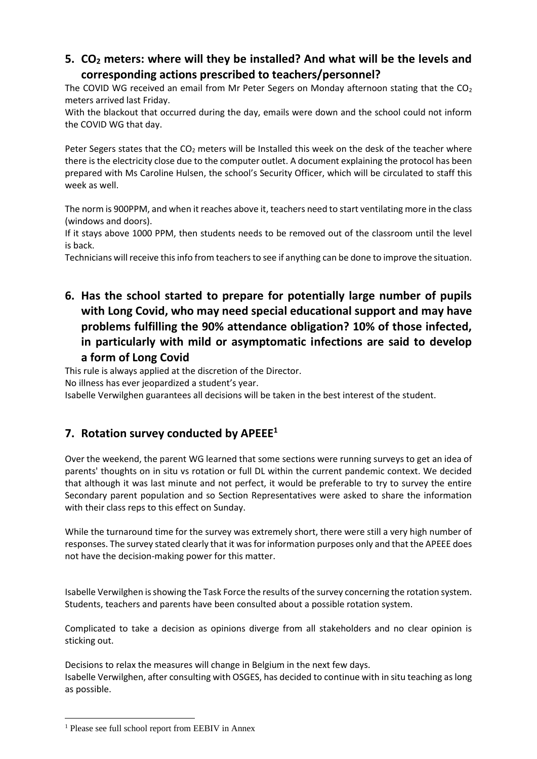## **5. CO<sup>2</sup> meters: where will they be installed? And what will be the levels and corresponding actions prescribed to teachers/personnel?**

The COVID WG received an email from Mr Peter Segers on Monday afternoon stating that the  $CO<sub>2</sub>$ meters arrived last Friday.

With the blackout that occurred during the day, emails were down and the school could not inform the COVID WG that day.

Peter Segers states that the CO<sub>2</sub> meters will be Installed this week on the desk of the teacher where there is the electricity close due to the computer outlet. A document explaining the protocol has been prepared with Ms Caroline Hulsen, the school's Security Officer, which will be circulated to staff this week as well.

The norm is 900PPM, and when it reaches above it, teachers need to start ventilating more in the class (windows and doors).

If it stays above 1000 PPM, then students needs to be removed out of the classroom until the level is back.

Technicians will receive this info from teachers to see if anything can be done to improve the situation.

**6. Has the school started to prepare for potentially large number of pupils with Long Covid, who may need special educational support and may have problems fulfilling the 90% attendance obligation? 10% of those infected, in particularly with mild or asymptomatic infections are said to develop a form of Long Covid**

This rule is always applied at the discretion of the Director.

No illness has ever jeopardized a student's year.

Isabelle Verwilghen guarantees all decisions will be taken in the best interest of the student.

## **7. Rotation survey conducted by APEEE<sup>1</sup>**

Over the weekend, the parent WG learned that some sections were running surveys to get an idea of parents' thoughts on in situ vs rotation or full DL within the current pandemic context. We decided that although it was last minute and not perfect, it would be preferable to try to survey the entire Secondary parent population and so Section Representatives were asked to share the information with their class reps to this effect on Sunday.

While the turnaround time for the survey was extremely short, there were still a very high number of responses. The survey stated clearly that it was for information purposes only and that the APEEE does not have the decision-making power for this matter.

Isabelle Verwilghen is showing the Task Force the results of the survey concerning the rotation system. Students, teachers and parents have been consulted about a possible rotation system.

Complicated to take a decision as opinions diverge from all stakeholders and no clear opinion is sticking out.

Decisions to relax the measures will change in Belgium in the next few days. Isabelle Verwilghen, after consulting with OSGES, has decided to continue with in situ teaching as long as possible.

<sup>1</sup> Please see full school report from EEBIV in Annex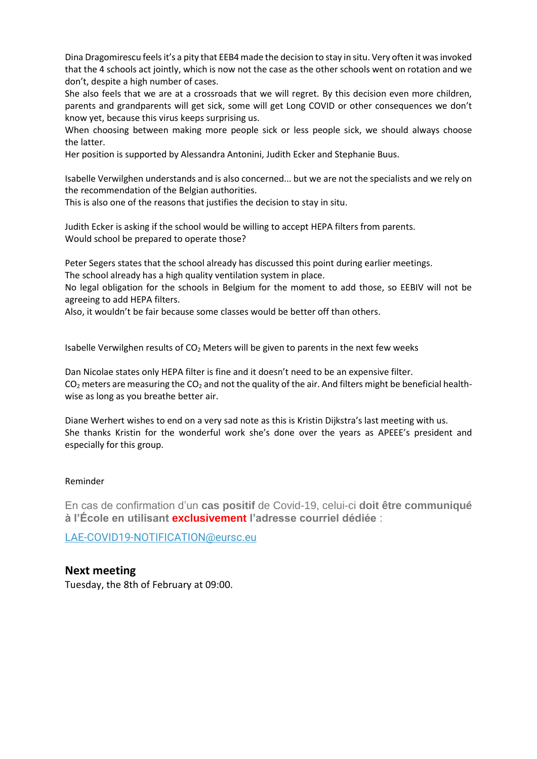Dina Dragomirescu feels it's a pity that EEB4 made the decision to stay in situ. Very often it was invoked that the 4 schools act jointly, which is now not the case as the other schools went on rotation and we don't, despite a high number of cases.

She also feels that we are at a crossroads that we will regret. By this decision even more children, parents and grandparents will get sick, some will get Long COVID or other consequences we don't know yet, because this virus keeps surprising us.

When choosing between making more people sick or less people sick, we should always choose the latter.

Her position is supported by Alessandra Antonini, Judith Ecker and Stephanie Buus.

Isabelle Verwilghen understands and is also concerned... but we are not the specialists and we rely on the recommendation of the Belgian authorities.

This is also one of the reasons that justifies the decision to stay in situ.

Judith Ecker is asking if the school would be willing to accept HEPA filters from parents. Would school be prepared to operate those?

Peter Segers states that the school already has discussed this point during earlier meetings. The school already has a high quality ventilation system in place.

No legal obligation for the schools in Belgium for the moment to add those, so EEBIV will not be agreeing to add HEPA filters.

Also, it wouldn't be fair because some classes would be better off than others.

Isabelle Verwilghen results of  $CO<sub>2</sub>$  Meters will be given to parents in the next few weeks

Dan Nicolae states only HEPA filter is fine and it doesn't need to be an expensive filter.  $CO<sub>2</sub>$  meters are measuring the  $CO<sub>2</sub>$  and not the quality of the air. And filters might be beneficial healthwise as long as you breathe better air.

Diane Werhert wishes to end on a very sad note as this is Kristin Dijkstra's last meeting with us. She thanks Kristin for the wonderful work she's done over the years as APEEE's president and especially for this group.

#### Reminder

En cas de confirmation d'un **cas positif** de Covid-19, celui-ci **doit être communiqué à l'École en utilisant exclusivement l'adresse courriel dédiée** :

[LAE-COVID19-NOTIFICATION@eursc.eu](mailto:LAE-COVID19-NOTIFICATION@EURSC.EU)

### **Next meeting**

Tuesday, the 8th of February at 09:00.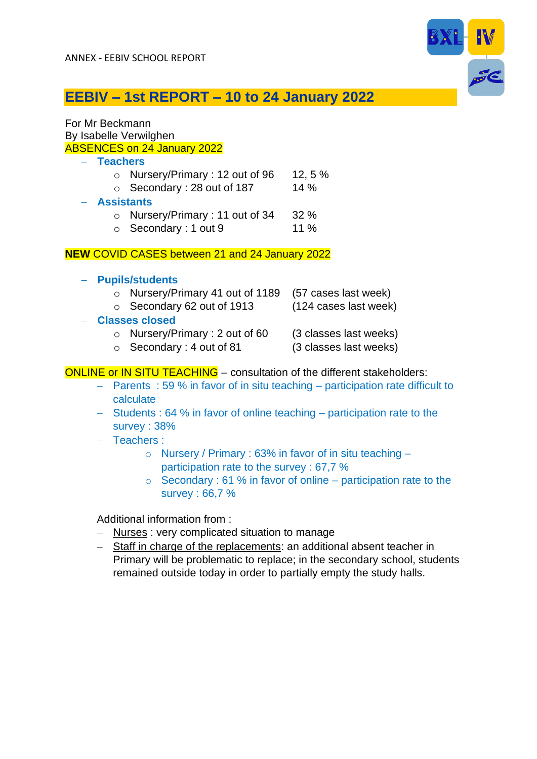

# **EEBIV – 1st REPORT – 10 to 24 January 2022**

### For Mr Beckmann By Isabelle Verwilghen ABSENCES on 24 January 2022

- − **Teachers**
	- $\circ$  Nursery/Primary : 12 out of 96 12, 5 %
	- $\circ$  Secondary : 28 out of 187 14 %
- − **Assistants**
	- o Nursery/Primary : 11 out of 34 32 %
	- o Secondary : 1 out 9 11 %

#### **NEW** COVID CASES between 21 and 24 January 2022

- − **Pupils/students**
	- o Nursery/Primary 41 out of 1189 (57 cases last week)
	- o Secondary 62 out of 1913 (124 cases last week)
- 

- − **Classes closed**
	- $\circ$  Nursery/Primary : 2 out of 60 (3 classes last weeks)
		-
	- $\circ$  Secondary : 4 out of 81 (3 classes last weeks)
- 

### ONLINE or IN SITU TEACHING – consultation of the different stakeholders:

- − Parents : 59 % in favor of in situ teaching participation rate difficult to calculate
- − Students : 64 % in favor of online teaching participation rate to the survey : 38%
- − Teachers :
	- $\circ$  Nursery / Primary : 63% in favor of in situ teaching participation rate to the survey : 67,7 %
	- $\circ$  Secondary : 61 % in favor of online participation rate to the survey : 66,7 %

Additional information from :

- − Nurses : very complicated situation to manage
- − Staff in charge of the replacements: an additional absent teacher in Primary will be problematic to replace; in the secondary school, students remained outside today in order to partially empty the study halls.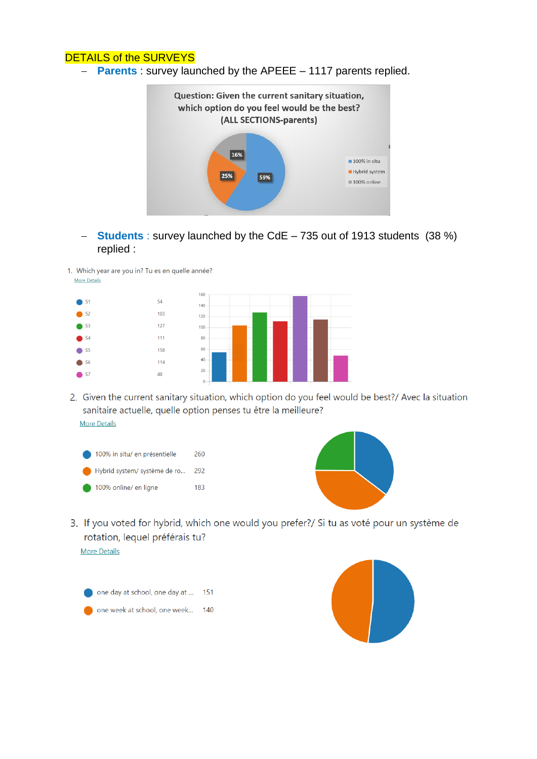### DETAILS of the SURVEYS

− **Parents** : survey launched by the APEEE – 1117 parents replied.



- − **Students** : survey launched by the CdE 735 out of 1913 students (38 %) replied :
- 1. Which year are you in? Tu es en quelle année? More Details



2. Given the current sanitary situation, which option do you feel would be best?/ Avec la situation sanitaire actuelle, quelle option penses tu être la meilleure? **More Details** 





3. If you voted for hybrid, which one would you prefer?/ Si tu as voté pour un système de rotation, lequel préférais tu?

**More Details**